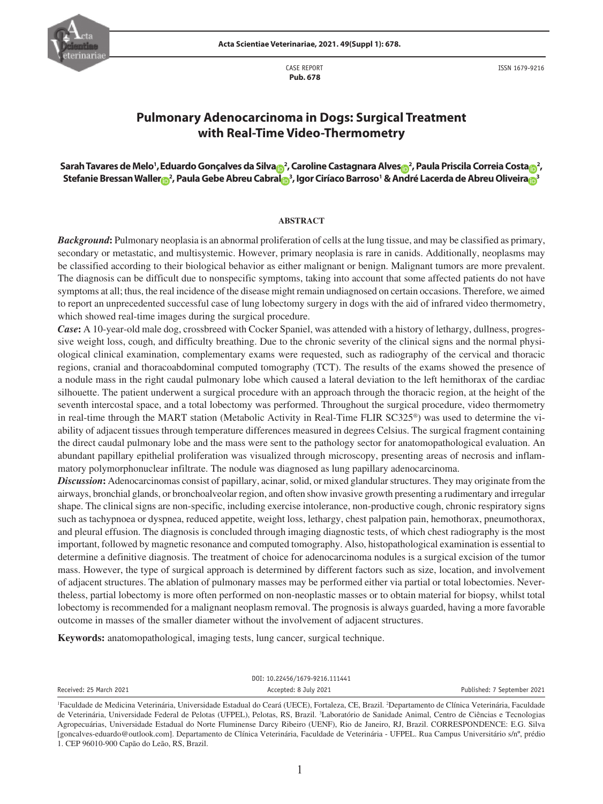

CASE REPORT  **Pub. 678**

ISSN 1679-9216

# **Pulmonary Adenocarcinoma in Dogs: Surgical Treatment with Real-Time Video-Thermometry**

## **Sarah Tavares de Melo1 ,Eduardo Gonçalves da Silv[a](https://orcid.org/0000-0001-8951-9316) <sup>2</sup> , Caroline Castagnara Alve[s](https://orcid.org/0000-0001-5077-9479) <sup>2</sup> , Paula Priscila Correia Cost[a](https://orcid.org/0000-0001-6421-0689) <sup>2</sup> , Stefanie Bressan Walle[r](https://orcid.org/0000-0001-6719-1794) <sup>2</sup> , Paula Gebe Abreu Cabra[l](https://orcid.org/0000-0002-4405-6511) <sup>3</sup> , Igor Ciríaco Barroso1 & André Lacerda de Abreu Oliveir[a](https://orcid.org/0000-0003-0530-0785) <sup>3</sup>**

#### **ABSTRACT**

*Background***:** Pulmonary neoplasia is an abnormal proliferation of cells at the lung tissue, and may be classified as primary, secondary or metastatic, and multisystemic. However, primary neoplasia is rare in canids. Additionally, neoplasms may be classified according to their biological behavior as either malignant or benign. Malignant tumors are more prevalent. The diagnosis can be difficult due to nonspecific symptoms, taking into account that some affected patients do not have symptoms at all; thus, the real incidence of the disease might remain undiagnosed on certain occasions. Therefore, we aimed to report an unprecedented successful case of lung lobectomy surgery in dogs with the aid of infrared video thermometry, which showed real-time images during the surgical procedure.

*Case***:** A 10-year-old male dog, crossbreed with Cocker Spaniel, was attended with a history of lethargy, dullness, progressive weight loss, cough, and difficulty breathing. Due to the chronic severity of the clinical signs and the normal physiological clinical examination, complementary exams were requested, such as radiography of the cervical and thoracic regions, cranial and thoracoabdominal computed tomography (TCT). The results of the exams showed the presence of a nodule mass in the right caudal pulmonary lobe which caused a lateral deviation to the left hemithorax of the cardiac silhouette. The patient underwent a surgical procedure with an approach through the thoracic region, at the height of the seventh intercostal space, and a total lobectomy was performed. Throughout the surgical procedure, video thermometry in real-time through the MART station (Metabolic Activity in Real-Time FLIR SC325®) was used to determine the viability of adjacent tissues through temperature differences measured in degrees Celsius. The surgical fragment containing the direct caudal pulmonary lobe and the mass were sent to the pathology sector for anatomopathological evaluation. An abundant papillary epithelial proliferation was visualized through microscopy, presenting areas of necrosis and inflammatory polymorphonuclear infiltrate. The nodule was diagnosed as lung papillary adenocarcinoma.

*Discussion***:** Adenocarcinomas consist of papillary, acinar, solid, or mixed glandular structures. They may originate from the airways, bronchial glands, or bronchoalveolar region, and often show invasive growth presenting a rudimentary and irregular shape. The clinical signs are non-specific, including exercise intolerance, non-productive cough, chronic respiratory signs such as tachypnoea or dyspnea, reduced appetite, weight loss, lethargy, chest palpation pain, hemothorax, pneumothorax, and pleural effusion. The diagnosis is concluded through imaging diagnostic tests, of which chest radiography is the most important, followed by magnetic resonance and computed tomography. Also, histopathological examination is essential to determine a definitive diagnosis. The treatment of choice for adenocarcinoma nodules is a surgical excision of the tumor mass. However, the type of surgical approach is determined by different factors such as size, location, and involvement of adjacent structures. The ablation of pulmonary masses may be performed either via partial or total lobectomies. Nevertheless, partial lobectomy is more often performed on non-neoplastic masses or to obtain material for biopsy, whilst total lobectomy is recommended for a malignant neoplasm removal. The prognosis is always guarded, having a more favorable outcome in masses of the smaller diameter without the involvement of adjacent structures.

**Keywords:** anatomopathological, imaging tests, lung cancer, surgical technique.

DOI: 10.22456/1679-9216.111441

Received: 25 March 2021 **Accepted: 8 July 2021** Accepted: 8 July 2021 **Published: 7 September 2021** 

<sup>&</sup>lt;sup>1</sup>Faculdade de Medicina Veterinária, Universidade Estadual do Ceará (UECE), Fortaleza, CE, Brazil. <sup>2</sup>Departamento de Clínica Veterinária, Faculdade de Veterinária, Universidade Federal de Pelotas (UFPEL), Pelotas, RS, Brazil. <sup>3</sup>Laboratório de Sanidade Animal, Centro de Ciências e Tecnologias Agropecuárias, Universidade Estadual do Norte Fluminense Darcy Ribeiro (UENF), Rio de Janeiro, RJ, Brazil. CORRESPONDENCE: E.G. Silva [goncalves-eduardo@outlook.com]. Departamento de Clínica Veterinária, Faculdade de Veterinária - UFPEL. Rua Campus Universitário s/nº, prédio 1. CEP 96010-900 Capão do Leão, RS, Brazil.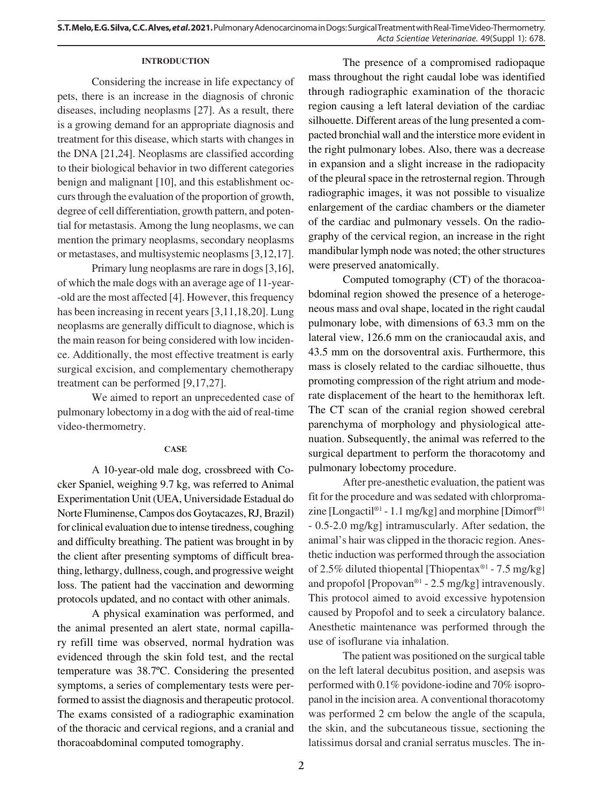### **INTRODUCTION**

Considering the increase in life expectancy of pets, there is an increase in the diagnosis of chronic diseases, including neoplasms [27]. As a result, there is a growing demand for an appropriate diagnosis and treatment for this disease, which starts with changes in the DNA [21,24]. Neoplasms are classified according to their biological behavior in two different categories benign and malignant [10], and this establishment occurs through the evaluation of the proportion of growth, degree of cell differentiation, growth pattern, and potential for metastasis. Among the lung neoplasms, we can mention the primary neoplasms, secondary neoplasms or metastases, and multisystemic neoplasms [3,12,17].

Primary lung neoplasms are rare in dogs [3,16], of which the male dogs with an average age of 11-year- -old are the most affected [4]. However, this frequency has been increasing in recent years [3,11,18,20]. Lung neoplasms are generally difficult to diagnose, which is the main reason for being considered with low incidence. Additionally, the most effective treatment is early surgical excision, and complementary chemotherapy treatment can be performed [9,17,27].

We aimed to report an unprecedented case of pulmonary lobectomy in a dog with the aid of real-time video-thermometry.

## **CASE**

A 10-year-old male dog, crossbreed with Cocker Spaniel, weighing 9.7 kg, was referred to Animal Experimentation Unit (UEA, Universidade Estadual do Norte Fluminense, Campos dos Goytacazes, RJ, Brazil) for clinical evaluation due to intense tiredness, coughing and difficulty breathing. The patient was brought in by the client after presenting symptoms of difficult breathing, lethargy, dullness, cough, and progressive weight loss. The patient had the vaccination and deworming protocols updated, and no contact with other animals.

A physical examination was performed, and the animal presented an alert state, normal capillary refill time was observed, normal hydration was evidenced through the skin fold test, and the rectal temperature was 38.7ºC. Considering the presented symptoms, a series of complementary tests were performed to assist the diagnosis and therapeutic protocol. The exams consisted of a radiographic examination of the thoracic and cervical regions, and a cranial and thoracoabdominal computed tomography.

The presence of a compromised radiopaque mass throughout the right caudal lobe was identified through radiographic examination of the thoracic region causing a left lateral deviation of the cardiac silhouette. Different areas of the lung presented a compacted bronchial wall and the interstice more evident in the right pulmonary lobes. Also, there was a decrease in expansion and a slight increase in the radiopacity of the pleural space in the retrosternal region. Through radiographic images, it was not possible to visualize enlargement of the cardiac chambers or the diameter of the cardiac and pulmonary vessels. On the radiography of the cervical region, an increase in the right mandibular lymph node was noted; the other structures were preserved anatomically.

Computed tomography (CT) of the thoracoabdominal region showed the presence of a heterogeneous mass and oval shape, located in the right caudal pulmonary lobe, with dimensions of 63.3 mm on the lateral view, 126.6 mm on the craniocaudal axis, and 43.5 mm on the dorsoventral axis. Furthermore, this mass is closely related to the cardiac silhouette, thus promoting compression of the right atrium and moderate displacement of the heart to the hemithorax left. The CT scan of the cranial region showed cerebral parenchyma of morphology and physiological attenuation. Subsequently, the animal was referred to the surgical department to perform the thoracotomy and pulmonary lobectomy procedure.

After pre-anesthetic evaluation, the patient was fit for the procedure and was sedated with chlorpromazine [Longactil<sup>®1</sup> - 1.1 mg/kg] and morphine [Dimorf<sup>®1</sup>] - 0.5-2.0 mg/kg] intramuscularly. After sedation, the animal's hair was clipped in the thoracic region. Anesthetic induction was performed through the association of 2.5% diluted thiopental [Thiopentax®1 - 7.5 mg/kg] and propofol  $[Propovan<sup>®1</sup> - 2.5 mg/kg]$  intravenously. This protocol aimed to avoid excessive hypotension caused by Propofol and to seek a circulatory balance. Anesthetic maintenance was performed through the use of isoflurane via inhalation.

The patient was positioned on the surgical table on the left lateral decubitus position, and asepsis was performed with 0.1% povidone-iodine and 70% isopropanol in the incision area. A conventional thoracotomy was performed 2 cm below the angle of the scapula, the skin, and the subcutaneous tissue, sectioning the latissimus dorsal and cranial serratus muscles. The in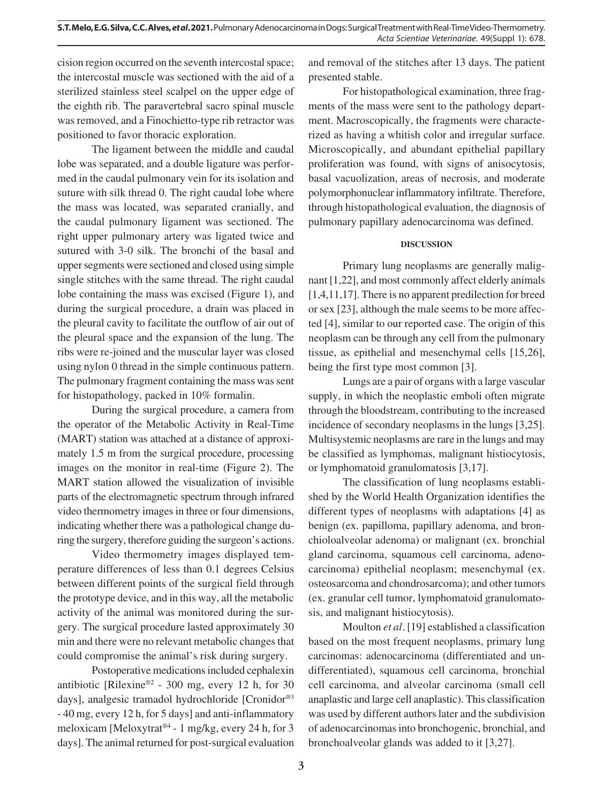cision region occurred on the seventh intercostal space; the intercostal muscle was sectioned with the aid of a sterilized stainless steel scalpel on the upper edge of the eighth rib. The paravertebral sacro spinal muscle was removed, and a Finochietto-type rib retractor was positioned to favor thoracic exploration.

The ligament between the middle and caudal lobe was separated, and a double ligature was performed in the caudal pulmonary vein for its isolation and suture with silk thread 0. The right caudal lobe where the mass was located, was separated cranially, and the caudal pulmonary ligament was sectioned. The right upper pulmonary artery was ligated twice and sutured with 3-0 silk. The bronchi of the basal and upper segments were sectioned and closed using simple single stitches with the same thread. The right caudal lobe containing the mass was excised (Figure 1), and during the surgical procedure, a drain was placed in the pleural cavity to facilitate the outflow of air out of the pleural space and the expansion of the lung. The ribs were re-joined and the muscular layer was closed using nylon 0 thread in the simple continuous pattern. The pulmonary fragment containing the mass was sent for histopathology, packed in 10% formalin.

During the surgical procedure, a camera from the operator of the Metabolic Activity in Real-Time (MART) station was attached at a distance of approximately 1.5 m from the surgical procedure, processing images on the monitor in real-time (Figure 2). The MART station allowed the visualization of invisible parts of the electromagnetic spectrum through infrared video thermometry images in three or four dimensions, indicating whether there was a pathological change during the surgery, therefore guiding the surgeon's actions.

Video thermometry images displayed temperature differences of less than 0.1 degrees Celsius between different points of the surgical field through the prototype device, and in this way, all the metabolic activity of the animal was monitored during the surgery. The surgical procedure lasted approximately 30 min and there were no relevant metabolic changes that could compromise the animal's risk during surgery.

Postoperative medications included cephalexin antibiotic [Rilexine®<sup>2</sup> - 300 mg, every 12 h, for 30 days], analgesic tramadol hydrochloride [Cronidor®3 - 40 mg, every 12 h, for 5 days] and anti-inflammatory meloxicam [Meloxytrat®4 - 1 mg/kg, every 24 h, for 3 days]. The animal returned for post-surgical evaluation and removal of the stitches after 13 days. The patient presented stable.

For histopathological examination, three fragments of the mass were sent to the pathology department. Macroscopically, the fragments were characterized as having a whitish color and irregular surface. Microscopically, and abundant epithelial papillary proliferation was found, with signs of anisocytosis, basal vacuolization, areas of necrosis, and moderate polymorphonuclear inflammatory infiltrate. Therefore, through histopathological evaluation, the diagnosis of pulmonary papillary adenocarcinoma was defined.

### **DISCUSSION**

Primary lung neoplasms are generally malignant [1,22], and most commonly affect elderly animals [1,4,11,17]. There is no apparent predilection for breed or sex [23], although the male seems to be more affected [4], similar to our reported case. The origin of this neoplasm can be through any cell from the pulmonary tissue, as epithelial and mesenchymal cells [15,26], being the first type most common [3].

Lungs are a pair of organs with a large vascular supply, in which the neoplastic emboli often migrate through the bloodstream, contributing to the increased incidence of secondary neoplasms in the lungs [3,25]. Multisystemic neoplasms are rare in the lungs and may be classified as lymphomas, malignant histiocytosis, or lymphomatoid granulomatosis [3,17].

The classification of lung neoplasms established by the World Health Organization identifies the different types of neoplasms with adaptations [4] as benign (ex. papilloma, papillary adenoma, and bronchioloalveolar adenoma) or malignant (ex. bronchial gland carcinoma, squamous cell carcinoma, adenocarcinoma) epithelial neoplasm; mesenchymal (ex. osteosarcoma and chondrosarcoma); and other tumors (ex. granular cell tumor, lymphomatoid granulomatosis, and malignant histiocytosis).

Moulton *et al.* [19] established a classification based on the most frequent neoplasms, primary lung carcinomas: adenocarcinoma (differentiated and undifferentiated), squamous cell carcinoma, bronchial cell carcinoma, and alveolar carcinoma (small cell anaplastic and large cell anaplastic). This classification was used by different authors later and the subdivision of adenocarcinomas into bronchogenic, bronchial, and bronchoalveolar glands was added to it [3,27].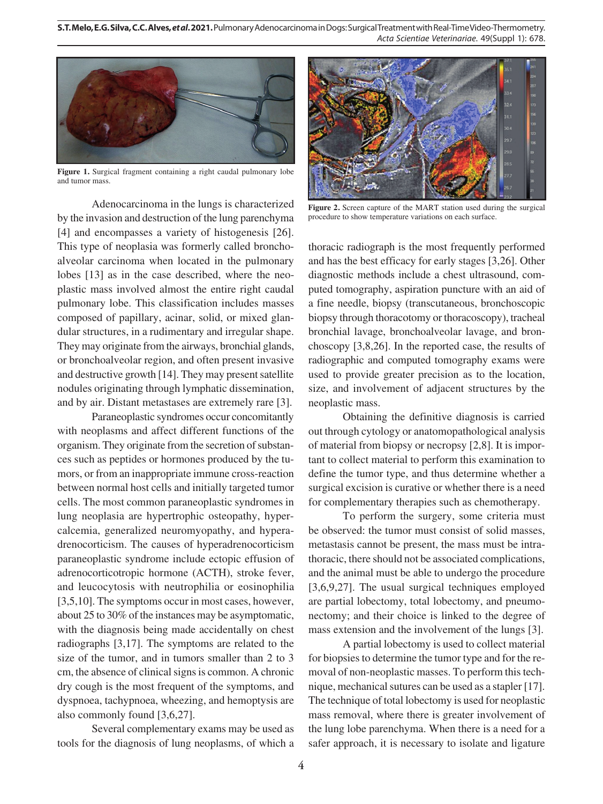**S.T. Melo, E.G. Silva, C.C. Alves,** *et al***. 2021.** Pulmonary Adenocarcinoma in Dogs: Surgical Treatment with Real-Time Video-Thermometry. *Acta Scientiae Veterinariae*. 49(Suppl 1): 678.



**Figure 1.** Surgical fragment containing a right caudal pulmonary lobe and tumor mass.

Adenocarcinoma in the lungs is characterized by the invasion and destruction of the lung parenchyma [4] and encompasses a variety of histogenesis [26]. This type of neoplasia was formerly called bronchoalveolar carcinoma when located in the pulmonary lobes [13] as in the case described, where the neoplastic mass involved almost the entire right caudal pulmonary lobe. This classification includes masses composed of papillary, acinar, solid, or mixed glandular structures, in a rudimentary and irregular shape. They may originate from the airways, bronchial glands, or bronchoalveolar region, and often present invasive and destructive growth [14]. They may present satellite nodules originating through lymphatic dissemination, and by air. Distant metastases are extremely rare [3].

Paraneoplastic syndromes occur concomitantly with neoplasms and affect different functions of the organism. They originate from the secretion of substances such as peptides or hormones produced by the tumors, or from an inappropriate immune cross-reaction between normal host cells and initially targeted tumor cells. The most common paraneoplastic syndromes in lung neoplasia are hypertrophic osteopathy, hypercalcemia, generalized neuromyopathy, and hyperadrenocorticism. The causes of hyperadrenocorticism paraneoplastic syndrome include ectopic effusion of adrenocorticotropic hormone (ACTH), stroke fever, and leucocytosis with neutrophilia or eosinophilia [3,5,10]. The symptoms occur in most cases, however, about 25 to 30% of the instances may be asymptomatic, with the diagnosis being made accidentally on chest radiographs [3,17]. The symptoms are related to the size of the tumor, and in tumors smaller than 2 to 3 cm, the absence of clinical signs is common. A chronic dry cough is the most frequent of the symptoms, and dyspnoea, tachypnoea, wheezing, and hemoptysis are also commonly found [3,6,27].

Several complementary exams may be used as tools for the diagnosis of lung neoplasms, of which a



**Figure 2.** Screen capture of the MART station used during the surgical procedure to show temperature variations on each surface.

thoracic radiograph is the most frequently performed and has the best efficacy for early stages [3,26]. Other diagnostic methods include a chest ultrasound, computed tomography, aspiration puncture with an aid of a fine needle, biopsy (transcutaneous, bronchoscopic biopsy through thoracotomy or thoracoscopy), tracheal bronchial lavage, bronchoalveolar lavage, and bronchoscopy [3,8,26]. In the reported case, the results of radiographic and computed tomography exams were used to provide greater precision as to the location, size, and involvement of adjacent structures by the neoplastic mass.

Obtaining the definitive diagnosis is carried out through cytology or anatomopathological analysis of material from biopsy or necropsy [2,8]. It is important to collect material to perform this examination to define the tumor type, and thus determine whether a surgical excision is curative or whether there is a need for complementary therapies such as chemotherapy.

To perform the surgery, some criteria must be observed: the tumor must consist of solid masses, metastasis cannot be present, the mass must be intrathoracic, there should not be associated complications, and the animal must be able to undergo the procedure [3,6,9,27]. The usual surgical techniques employed are partial lobectomy, total lobectomy, and pneumonectomy; and their choice is linked to the degree of mass extension and the involvement of the lungs [3].

A partial lobectomy is used to collect material for biopsies to determine the tumor type and for the removal of non-neoplastic masses. To perform this technique, mechanical sutures can be used as a stapler [17]. The technique of total lobectomy is used for neoplastic mass removal, where there is greater involvement of the lung lobe parenchyma. When there is a need for a safer approach, it is necessary to isolate and ligature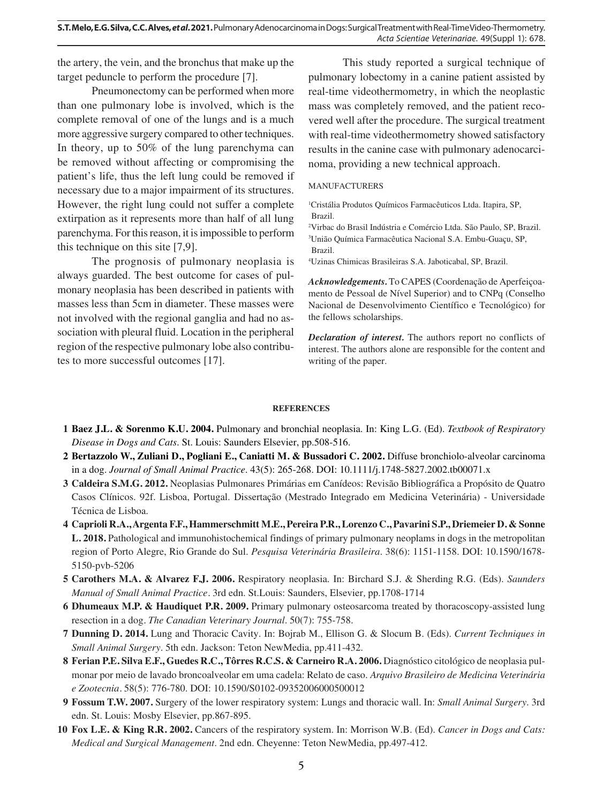the artery, the vein, and the bronchus that make up the target peduncle to perform the procedure [7].

Pneumonectomy can be performed when more than one pulmonary lobe is involved, which is the complete removal of one of the lungs and is a much more aggressive surgery compared to other techniques. In theory, up to 50% of the lung parenchyma can be removed without affecting or compromising the patient's life, thus the left lung could be removed if necessary due to a major impairment of its structures. However, the right lung could not suffer a complete extirpation as it represents more than half of all lung parenchyma. For this reason, it is impossible to perform this technique on this site [7,9].

The prognosis of pulmonary neoplasia is always guarded. The best outcome for cases of pulmonary neoplasia has been described in patients with masses less than 5cm in diameter. These masses were not involved with the regional ganglia and had no association with pleural fluid. Location in the peripheral region of the respective pulmonary lobe also contributes to more successful outcomes [17].

This study reported a surgical technique of pulmonary lobectomy in a canine patient assisted by real-time videothermometry, in which the neoplastic mass was completely removed, and the patient recovered well after the procedure. The surgical treatment with real-time videothermometry showed satisfactory results in the canine case with pulmonary adenocarcinoma, providing a new technical approach.

#### MANUFACTURERS

1 Cristália Produtos Químicos Farmacêuticos Ltda. Itapira, SP, Brazil.

2 Virbac do Brasil Indústria e Comércio Ltda. São Paulo, SP, Brazil. 3 União Química Farmacêutica Nacional S.A. Embu-Guaçu, SP, Brazil.

4 Uzinas Chimicas Brasileiras S.A. Jaboticabal, SP, Brazil.

*Acknowledgements.* To CAPES (Coordenação de Aperfeiçoamento de Pessoal de Nível Superior) and to CNPq (Conselho Nacional de Desenvolvimento Científico e Tecnológico) for the fellows scholarships.

*Declaration of interest.* The authors report no conflicts of interest. The authors alone are responsible for the content and writing of the paper.

#### **REFERENCES**

- **1 Baez J.L. & Sorenmo K.U. 2004.** Pulmonary and bronchial neoplasia. In: King L.G. (Ed). *Textbook of Respiratory Disease in Dogs and Cats*. St. Louis: Saunders Elsevier, pp.508-516.
- **2 Bertazzolo W., Zuliani D., Pogliani E., Caniatti M. & Bussadori C. 2002.** Diffuse bronchiolo-alveolar carcinoma in a dog. *Journal of Small Animal Practice*. 43(5): 265-268. DOI: 10.1111/j.1748-5827.2002.tb00071.x
- **3 Caldeira S.M.G. 2012.** Neoplasias Pulmonares Primárias em Canídeos: Revisão Bibliográfica a Propósito de Quatro Casos Clínicos. 92f. Lisboa, Portugal. Dissertação (Mestrado Integrado em Medicina Veterinária) - Universidade Técnica de Lisboa.
- **4 Caprioli R.A., Argenta F.F., Hammerschmitt M.E., Pereira P.R., Lorenzo C., Pavarini S.P., Driemeier D. & Sonne L. 2018.** Pathological and immunohistochemical findings of primary pulmonary neoplams in dogs in the metropolitan region of Porto Alegre, Rio Grande do Sul. *Pesquisa Veterinária Brasileira*. 38(6): 1151-1158. DOI: 10.1590/1678- 5150-pvb-5206
- **5 Carothers M.A. & Alvarez F.J. 2006.** Respiratory neoplasia. In: Birchard S.J. & Sherding R.G. (Eds). *Saunders Manual of Small Animal Practice.* 3rd edn. St.Louis: Saunders, Elsevier*,* pp.1708-1714
- **6 Dhumeaux M.P. & Haudiquet P.R. 2009.** Primary pulmonary osteosarcoma treated by thoracoscopy-assisted lung resection in a dog*. The Canadian Veterinary Journal*. 50(7): 755-758.
- **7 Dunning D. 2014.** Lung and Thoracic Cavity. In: Bojrab M., Ellison G. & Slocum B. (Eds). *Current Techniques in Small Animal Surgery*. 5th edn. Jackson: Teton NewMedia, pp.411-432.
- **8 Ferian P.E. Silva E.F., Guedes R.C., Tôrres R.C.S. & Carneiro R.A. 2006.** Diagnóstico citológico de neoplasia pulmonar por meio de lavado broncoalveolar em uma cadela: Relato de caso. *Arquivo Brasileiro de Medicina Veterinária e Zootecnia.* 58(5): 776-780. DOI: 10.1590/S0102-09352006000500012
- **9 Fossum T.W. 2007.** Surgery of the lower respiratory system: Lungs and thoracic wall. In: *Small Animal Surgery*. 3rd edn. St. Louis: Mosby Elsevier, pp.867-895.
- **10 Fox L.E. & King R.R. 2002.** Cancers of the respiratory system. In: Morrison W.B. (Ed). *Cancer in Dogs and Cats: Medical and Surgical Management*. 2nd edn. Cheyenne: Teton NewMedia, pp.497-412.